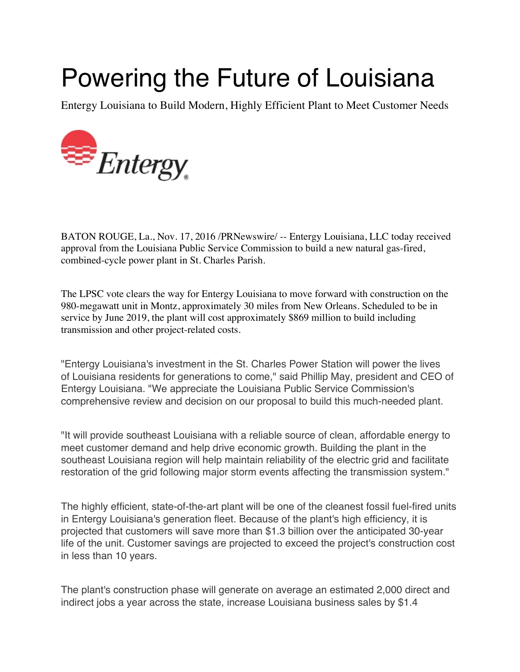## Powering the Future of Louisiana

Entergy Louisiana to Build Modern, Highly Efficient Plant to Meet Customer Needs



BATON ROUGE, La., Nov. 17, 2016 /PRNewswire/ -- Entergy Louisiana, LLC today received approval from the Louisiana Public Service Commission to build a new natural gas-fired, combined-cycle power plant in St. Charles Parish.

The LPSC vote clears the way for Entergy Louisiana to move forward with construction on the 980-megawatt unit in Montz, approximately 30 miles from New Orleans. Scheduled to be in service by June 2019, the plant will cost approximately \$869 million to build including transmission and other project-related costs.

"Entergy Louisiana's investment in the St. Charles Power Station will power the lives of Louisiana residents for generations to come," said Phillip May, president and CEO of Entergy Louisiana. "We appreciate the Louisiana Public Service Commission's comprehensive review and decision on our proposal to build this much-needed plant.

"It will provide southeast Louisiana with a reliable source of clean, affordable energy to meet customer demand and help drive economic growth. Building the plant in the southeast Louisiana region will help maintain reliability of the electric grid and facilitate restoration of the grid following major storm events affecting the transmission system."

The highly efficient, state-of-the-art plant will be one of the cleanest fossil fuel-fired units in Entergy Louisiana's generation fleet. Because of the plant's high efficiency, it is projected that customers will save more than \$1.3 billion over the anticipated 30-year life of the unit. Customer savings are projected to exceed the project's construction cost in less than 10 years.

The plant's construction phase will generate on average an estimated 2,000 direct and indirect jobs a year across the state, increase Louisiana business sales by \$1.4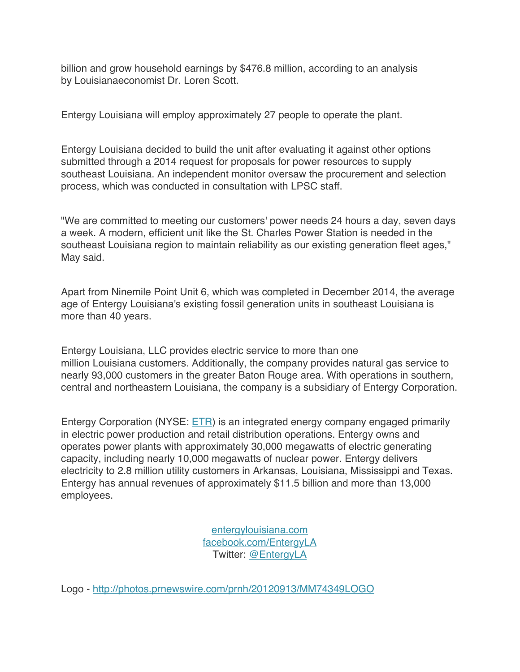billion and grow household earnings by \$476.8 million, according to an analysis by Louisianaeconomist Dr. Loren Scott.

Entergy Louisiana will employ approximately 27 people to operate the plant.

Entergy Louisiana decided to build the unit after evaluating it against other options submitted through a 2014 request for proposals for power resources to supply southeast Louisiana. An independent monitor oversaw the procurement and selection process, which was conducted in consultation with LPSC staff.

"We are committed to meeting our customers' power needs 24 hours a day, seven days a week. A modern, efficient unit like the St. Charles Power Station is needed in the southeast Louisiana region to maintain reliability as our existing generation fleet ages," May said.

Apart from Ninemile Point Unit 6, which was completed in December 2014, the average age of Entergy Louisiana's existing fossil generation units in southeast Louisiana is more than 40 years.

Entergy Louisiana, LLC provides electric service to more than one million Louisiana customers. Additionally, the company provides natural gas service to nearly 93,000 customers in the greater Baton Rouge area. With operations in southern, central and northeastern Louisiana, the company is a subsidiary of Entergy Corporation.

Entergy Corporation (NYSE: ETR) is an integrated energy company engaged primarily in electric power production and retail distribution operations. Entergy owns and operates power plants with approximately 30,000 megawatts of electric generating capacity, including nearly 10,000 megawatts of nuclear power. Entergy delivers electricity to 2.8 million utility customers in Arkansas, Louisiana, Mississippi and Texas. Entergy has annual revenues of approximately \$11.5 billion and more than 13,000 employees.

> entergylouisiana.com facebook.com/EntergyLA Twitter: @EntergyLA

Logo - http://photos.prnewswire.com/prnh/20120913/MM74349LOGO